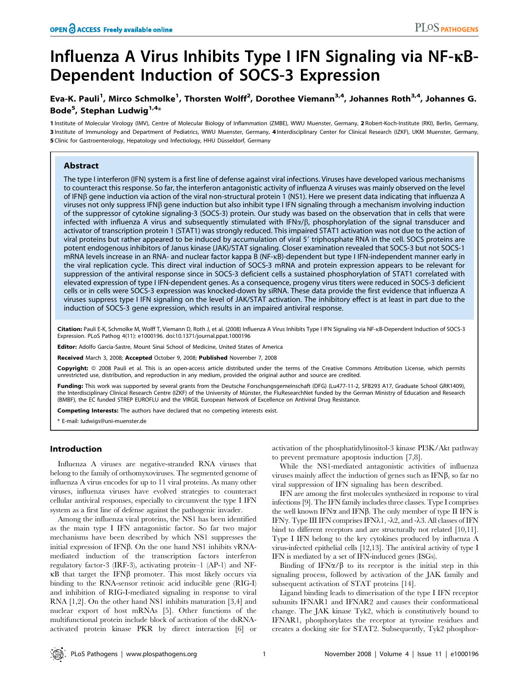# Influenza A Virus Inhibits Type I IFN Signaling via NF-kB-Dependent Induction of SOCS-3 Expression

## Eva-K. Pauli<sup>1</sup>, Mirco Schmolke<sup>1</sup>, Thorsten Wolff<sup>2</sup>, Dorothee Viemann<sup>3,4</sup>, Johannes Roth<sup>3,4</sup>, Johannes G. Bode<sup>5</sup>, Stephan Ludwig<sup>1,4</sup>\*

1 Institute of Molecular Virology (IMV), Centre of Molecular Biology of Inflammation (ZMBE), WWU Muenster, Germany, 2 Robert-Koch-Institute (RKI), Berlin, Germany, 3 Institute of Immunology and Department of Pediatrics, WWU Muenster, Germany, 4 Interdisciplinary Center for Clinical Research (IZKF), UKM Muenster, Germany, 5 Clinic for Gastroenterology, Hepatology und Infectiology, HHU Düsseldorf, Germany

## Abstract

The type I interferon (IFN) system is a first line of defense against viral infections. Viruses have developed various mechanisms to counteract this response. So far, the interferon antagonistic activity of influenza A viruses was mainly observed on the level of IFNß gene induction via action of the viral non-structural protein 1 (NS1). Here we present data indicating that influenza A viruses not only suppress IFN $\beta$  gene induction but also inhibit type I IFN signaling through a mechanism involving induction of the suppressor of cytokine signaling-3 (SOCS-3) protein. Our study was based on the observation that in cells that were infected with influenza A virus and subsequently stimulated with  $IFNx/\beta$ , phosphorylation of the signal transducer and activator of transcription protein 1 (STAT1) was strongly reduced. This impaired STAT1 activation was not due to the action of viral proteins but rather appeared to be induced by accumulation of viral 5' triphosphate RNA in the cell. SOCS proteins are potent endogenous inhibitors of Janus kinase (JAK)/STAT signaling. Closer examination revealed that SOCS-3 but not SOCS-1 mRNA levels increase in an RNA- and nuclear factor kappa B (NF-kB)-dependent but type I IFN-independent manner early in the viral replication cycle. This direct viral induction of SOCS-3 mRNA and protein expression appears to be relevant for suppression of the antiviral response since in SOCS-3 deficient cells a sustained phosphorylation of STAT1 correlated with elevated expression of type I IFN-dependent genes. As a consequence, progeny virus titers were reduced in SOCS-3 deficient cells or in cells were SOCS-3 expression was knocked-down by siRNA. These data provide the first evidence that influenza A viruses suppress type I IFN signaling on the level of JAK/STAT activation. The inhibitory effect is at least in part due to the induction of SOCS-3 gene expression, which results in an impaired antiviral response.

Citation: Pauli E-K, Schmolke M, Wolff T, Viemann D, Roth J, et al. (2008) Influenza A Virus Inhibits Type I IFN Signaling via NF-kB-Dependent Induction of SOCS-3 Expression. PLoS Pathog 4(11): e1000196. doi:10.1371/journal.ppat.1000196

Editor: Adolfo Garcia-Sastre, Mount Sinai School of Medicine, United States of America

Received March 3, 2008; Accepted October 9, 2008; Published November 7, 2008

Copyright: @ 2008 Pauli et al. This is an open-access article distributed under the terms of the Creative Commons Attribution License, which permits unrestricted use, distribution, and reproduction in any medium, provided the original author and source are credited.

Funding: This work was supported by several grants from the Deutsche Forschungsgemeinschaft (DFG) (Lu477-11-2, SFB293 A17, Graduate School GRK1409), the Interdisciplinary Clinical Research Centre (IZKF) of the University of Münster, the FluResearchNet funded by the German Ministry of Education and Research (BMBF), the EC funded STREP EUROFLU and the VIRGIL European Network of Excellence on Antiviral Drug Resistance.

Competing Interests: The authors have declared that no competing interests exist.

\* E-mail: ludwigs@uni-muenster.de

## Introduction

Influenza A viruses are negative-stranded RNA viruses that belong to the family of orthomyxoviruses. The segmented genome of influenza A virus encodes for up to 11 viral proteins. As many other viruses, influenza viruses have evolved strategies to counteract cellular antiviral responses, especially to circumvent the type I IFN system as a first line of defense against the pathogenic invader.

Among the influenza viral proteins, the NS1 has been identified as the main type I IFN antagonistic factor. So far two major mechanisms have been described by which NS1 suppresses the initial expression of IFN $\beta$ . On the one hand NS1 inhibits vRNAmediated induction of the transcription factors interferon regulatory factor-3 (IRF-3), activating protein–1 (AP-1) and NF- $\kappa$ B that target the IFN $\beta$  promoter. This most likely occurs via binding to the RNA-sensor retinoic acid inducible gene (RIG-I) and inhibition of RIG-I-mediated signaling in response to viral RNA [1,2]. On the other hand NS1 inhibits maturation [3,4] and nuclear export of host mRNAs [5]. Other functions of the multifunctional protein include block of activation of the dsRNAactivated protein kinase PKR by direct interaction [6] or activation of the phosphatidylinositol-3 kinase PI3K/Akt pathway to prevent premature apoptosis induction [7,8].

While the NS1-mediated antagonistic activities of influenza viruses mainly affect the induction of genes such as  $IFN $\beta$ , so far no$ viral suppression of IFN signaling has been described.

IFN are among the first molecules synthesized in response to viral infections [9]. The IFN family includes three classes. Type I comprises the well known IFN $\alpha$  and IFN $\beta$ . The only member of type II IFN is IFN $\gamma$ . Type III IFN comprises IFN $\lambda$ 1, - $\lambda$ 2, and - $\lambda$ 3. All classes of IFN bind to different receptors and are structurally not related [10,11]. Type I IFN belong to the key cytokines produced by influenza A virus-infected epithelial cells [12,13]. The antiviral activity of type I IFN is mediated by a set of IFN-induced genes (ISGs).

Binding of IFN $\alpha/\beta$  to its receptor is the initial step in this signaling process, followed by activation of the JAK family and subsequent activation of STAT proteins [14].

Ligand binding leads to dimerisation of the type I IFN receptor subunits IFNAR1 and IFNAR2 and causes their conformational change. The JAK kinase Tyk2, which is constitutively bound to IFNAR1, phosphorylates the receptor at tyrosine residues and creates a docking site for STAT2. Subsequently, Tyk2 phosphor-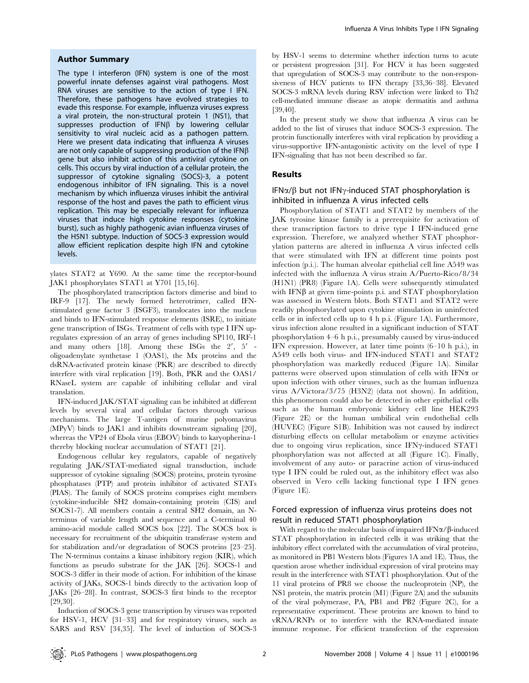#### Author Summary

The type I interferon (IFN) system is one of the most powerful innate defenses against viral pathogens. Most RNA viruses are sensitive to the action of type I IFN. Therefore, these pathogens have evolved strategies to evade this response. For example, influenza viruses express a viral protein, the non-structural protein 1 (NS1), that suppresses production of IFN $\beta$  by lowering cellular sensitivity to viral nucleic acid as a pathogen pattern. Here we present data indicating that influenza A viruses are not only capable of suppressing production of the IFN $\beta$ gene but also inhibit action of this antiviral cytokine on cells. This occurs by viral induction of a cellular protein, the suppressor of cytokine signaling (SOCS)-3, a potent endogenous inhibitor of IFN signaling. This is a novel mechanism by which influenza viruses inhibit the antiviral response of the host and paves the path to efficient virus replication. This may be especially relevant for influenza viruses that induce high cytokine responses (cytokine burst), such as highly pathogenic avian influenza viruses of the H5N1 subtype. Induction of SOCS-3 expression would allow efficient replication despite high IFN and cytokine levels.

ylates STAT2 at Y690. At the same time the receptor-bound JAK1 phosphorylates STAT1 at Y701 [15,16].

The phosphorylated transcription factors dimerise and bind to IRF-9 [17]. The newly formed heterotrimer, called IFNstimulated gene factor 3 (ISGF3), translocates into the nucleus and binds to IFN-stimulated response elements (ISRE), to initiate gene transcription of ISGs. Treatment of cells with type I IFN upregulates expression of an array of genes including SP110, IRF-1 and many others  $[18]$ . Among these ISGs the  $2'$ ,  $5'$  oligoadenylate synthetase 1 (OAS1), the Mx proteins and the dsRNA-activated protein kinase (PKR) are described to directly interfere with viral replication [19]. Both, PKR and the OAS1/ RNaseL system are capable of inhibiting cellular and viral translation.

IFN-induced JAK/STAT signaling can be inhibited at different levels by several viral and cellular factors through various mechanisms. The large T-antigen of murine polyomavirus (MPyV) binds to JAK1 and inhibits downstream signaling [20], whereas the VP24 of Ebola virus (EBOV) binds to karyopherina-1 thereby blocking nuclear accumulation of STAT1 [21].

Endogenous cellular key regulators, capable of negatively regulating JAK/STAT-mediated signal transduction, include suppressor of cytokine signaling (SOCS) proteins, protein tyrosine phosphatases (PTP) and protein inhibitor of activated STATs (PIAS). The family of SOCS proteins comprises eight members (cytokine-inducible SH2 domain-containing protein (CIS) and SOCS1-7). All members contain a central SH2 domain, an Nterminus of variable length and sequence and a C-terminal 40 amino-acid module called SOCS box [22]. The SOCS box is necessary for recruitment of the ubiquitin transferase system and for stabilization and/or degradation of SOCS proteins [23–25]. The N-terminus contains a kinase inhibitory region (KIR), which functions as pseudo substrate for the JAK [26]. SOCS-1 and SOCS-3 differ in their mode of action. For inhibition of the kinase activity of JAKs, SOCS-1 binds directly to the activation loop of JAKs [26–28]. In contrast, SOCS-3 first binds to the receptor [29,30].

Induction of SOCS-3 gene transcription by viruses was reported for HSV-1, HCV [31–33] and for respiratory viruses, such as SARS and RSV [34,35]. The level of induction of SOCS-3

by HSV-1 seems to determine whether infection turns to acute or persistent progression [31]. For HCV it has been suggested that upregulation of SOCS-3 may contribute to the non-responsiveness of HCV patients to IFN therapy [33,36–38]. Elevated SOCS-3 mRNA levels during RSV infection were linked to Th2 cell-mediated immune disease as atopic dermatitis and asthma [39,40].

In the present study we show that influenza A virus can be added to the list of viruses that induce SOCS-3 expression. The protein functionally interferes with viral replication by providing a virus-supportive IFN-antagonistic activity on the level of type I IFN-signaling that has not been described so far.

#### Results

## IFN $\alpha/\beta$  but not IFN $\gamma$ -induced STAT phosphorylation is inhibited in influenza A virus infected cells

Phosphorylation of STAT1 and STAT2 by members of the JAK tyrosine kinase family is a prerequisite for activation of these transcription factors to drive type I IFN-induced gene expression. Therefore, we analyzed whether STAT phosphorylation patterns are altered in influenza A virus infected cells that were stimulated with IFN at different time points post infection (p.i.). The human alveolar epithelial cell line A549 was infected with the influenza A virus strain A/Puerto-Rico/8/34 (H1N1) (PR8) (Figure 1A). Cells were subsequently stimulated with IFN $\beta$  at given time-points p.i. and STAT phosphorylation was assessed in Western blots. Both STAT1 and STAT2 were readily phosphorylated upon cytokine stimulation in uninfected cells or in infected cells up to 4 h p.i. (Figure 1A). Furthermore, virus infection alone resulted in a significant induction of STAT phosphorylation 4–6 h p.i., presumably caused by virus-induced IFN expression. However, at later time points (6–10 h p.i.), in A549 cells both virus- and IFN-induced STAT1 and STAT2 phosphorylation was markedly reduced (Figure 1A). Similar patterns were observed upon stimulation of cells with IFN $\alpha$  or upon infection with other viruses, such as the human influenza virus A/Victora/3/75 (H3N2) (data not shown). In addition, this phenomenon could also be detected in other epithelial cells such as the human embryonic kidney cell line HEK293 (Figure 2E) or the human umbilical vein endothelial cells (HUVEC) (Figure S1B). Inhibition was not caused by indirect disturbing effects on cellular metabolism or enzyme activities due to ongoing virus replication, since IFN $\gamma$ -induced STAT1 phosphorylation was not affected at all (Figure 1C). Finally, involvement of any auto- or paracrine action of virus-induced type I IFN could be ruled out, as the inhibitory effect was also observed in Vero cells lacking functional type I IFN genes (Figure 1E).

## Forced expression of influenza virus proteins does not result in reduced STAT1 phosphorylation

With regard to the molecular basis of impaired  $IFN\alpha/\beta$ -induced STAT phosphorylation in infected cells it was striking that the inhibitory effect correlated with the accumulation of viral proteins, as monitored in PB1 Western blots (Figures 1A and 1E). Thus, the question arose whether individual expression of viral proteins may result in the interference with STAT1 phosphorylation. Out of the 11 viral proteins of PR8 we choose the nucleoprotein (NP), the NS1 protein, the matrix protein (M1) (Figure 2A) and the subunits of the viral polymerase, PA, PB1 and PB2 (Figure 2C), for a representative experiment. These proteins are known to bind to vRNA/RNPs or to interfere with the RNA-mediated innate immune response. For efficient transfection of the expression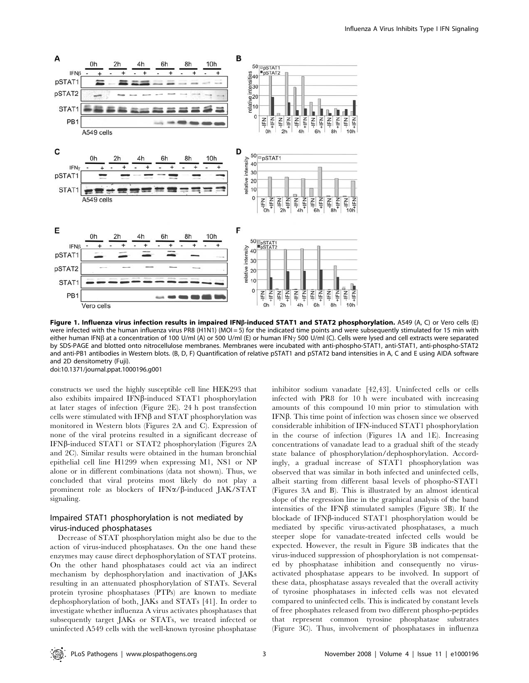

Figure 1. Influenza virus infection results in impaired IFNß-induced STAT1 and STAT2 phosphorylation. A549 (A, C) or Vero cells (E) were infected with the human influenza virus PR8 (H1N1) (MOI = 5) for the indicated time points and were subsequently stimulated for 15 min with either human IFN $\beta$  at a concentration of 100 U/ml (A) or 500 U/ml (E) or human IFN $\gamma$  500 U/ml (C). Cells were lysed and cell extracts were separated by SDS-PAGE and blotted onto nitrocellulose membranes. Membranes were incubated with anti-phospho-STAT1, anti-STAT1, anti-phospho-STAT2 and anti-PB1 antibodies in Western blots. (B, D, F) Quantification of relative pSTAT1 and pSTAT2 band intensities in A, C and E using AIDA software and 2D densitometry (Fuji).

doi:10.1371/journal.ppat.1000196.g001

constructs we used the highly susceptible cell line HEK293 that also exhibits impaired IFN $\beta$ -induced STAT1 phosphorylation at later stages of infection (Figure 2E). 24 h post transfection cells were stimulated with IFN $\beta$  and STAT phosphorylation was monitored in Western blots (Figures 2A and C). Expression of none of the viral proteins resulted in a significant decrease of IFN $\beta$ -induced STAT1 or STAT2 phosphorylation (Figures 2A and 2C). Similar results were obtained in the human bronchial epithelial cell line H1299 when expressing M1, NS1 or NP alone or in different combinations (data not shown). Thus, we concluded that viral proteins most likely do not play a prominent role as blockers of  $IFN\alpha/\beta$ -induced JAK/STAT signaling.

## Impaired STAT1 phosphorylation is not mediated by virus-induced phosphatases

Decrease of STAT phosphorylation might also be due to the action of virus-induced phosphatases. On the one hand these enzymes may cause direct dephosphorylation of STAT proteins. On the other hand phosphatases could act via an indirect mechanism by dephosphorylation and inactivation of JAKs resulting in an attenuated phosphorylation of STATs. Several protein tyrosine phosphatases (PTPs) are known to mediate dephosphorylation of both, JAKs and STATs [41]. In order to investigate whether influenza A virus activates phosphatases that subsequently target JAKs or STATs, we treated infected or uninfected A549 cells with the well-known tyrosine phosphatase inhibitor sodium vanadate [42,43]. Uninfected cells or cells infected with PR8 for 10 h were incubated with increasing amounts of this compound 10 min prior to stimulation with  $IFN\beta$ . This time point of infection was chosen since we observed considerable inhibition of IFN-induced STAT1 phosphorylation in the course of infection (Figures 1A and 1E). Increasing concentrations of vanadate lead to a gradual shift of the steady state balance of phosphorylation/dephosphorylation. Accordingly, a gradual increase of STAT1 phosphorylation was observed that was similar in both infected and uninfected cells, albeit starting from different basal levels of phospho-STAT1 (Figures 3A and B). This is illustrated by an almost identical slope of the regression line in the graphical analysis of the band intensities of the IFN $\beta$  stimulated samples (Figure 3B). If the blockade of IFNβ-induced STAT1 phosphorylation would be mediated by specific virus-activated phosphatases, a much steeper slope for vanadate-treated infected cells would be expected. However, the result in Figure 3B indicates that the virus-induced suppression of phosphorylation is not compensated by phosphatase inhibition and consequently no virusactivated phosphatase appears to be involved. In support of these data, phosphatase assays revealed that the overall activity of tyrosine phosphatases in infected cells was not elevated compared to uninfected cells. This is indicated by constant levels of free phosphates released from two different phospho-peptides that represent common tyrosine phosphatase substrates (Figure 3C). Thus, involvement of phosphatases in influenza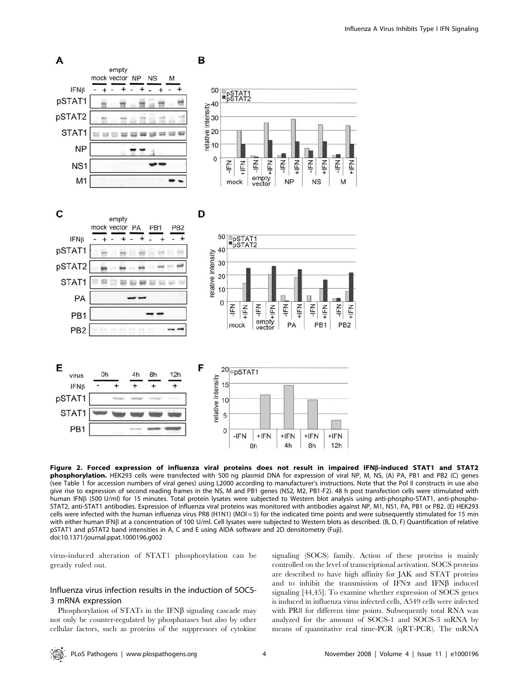

Figure 2. Forced expression of influenza viral proteins does not result in impaired IFNß-induced STAT1 and STAT2 phosphorylation. HEK293 cells were transfected with 500 ng plasmid DNA for expression of viral NP, M, NS, (A) PA, PB1 and PB2 (C) genes (see Table 1 for accession numbers of viral genes) using L2000 according to manufacturer's instructions. Note that the Pol II constructs in use also give rise to expression of second reading frames in the NS, M and PB1 genes (NS2, M2, PB1-F2). 48 h post transfection cells were stimulated with human IFNB (500 U/ml) for 15 minutes. Total protein lysates were subjected to Western blot analysis using anti-phospho-STAT1, anti-phospho-STAT2, anti-STAT1 antibodies. Expression of influenza viral proteins was monitored with antibodies against NP, M1, NS1, PA, PB1 or PB2. (E) HEK293 cells were infected with the human influenza virus PR8 (H1N1) (MOI = 5) for the indicated time points and were subsequently stimulated for 15 min with either human IFNB at a concentration of 100 U/ml. Cell lysates were subjected to Western blots as described. (B, D, F) Quantification of relative pSTAT1 and pSTAT2 band intensities in A, C and E using AIDA software and 2D densitometry (Fuji). doi:10.1371/journal.ppat.1000196.g002

virus-induced alteration of STAT1 phosphorylation can be greatly ruled out.

## Influenza virus infection results in the induction of SOCS-3 mRNA expression

Phosphorylation of STATs in the IFN $\beta$  signaling cascade may not only be counter-regulated by phosphatases but also by other cellular factors, such as proteins of the suppressors of cytokine

signaling (SOCS) family. Action of these proteins is mainly controlled on the level of transcriptional activation. SOCS proteins are described to have high affinity for JAK and STAT proteins and to inhibit the transmission of IFN $\alpha$  and IFN $\beta$  induced signaling [44,45]. To examine whether expression of SOCS genes is induced in influenza virus infected cells, A549 cells were infected with PR8 for different time points. Subsequently total RNA was analyzed for the amount of SOCS-1 and SOCS-3 mRNA by means of quantitative real time-PCR (qRT-PCR). The mRNA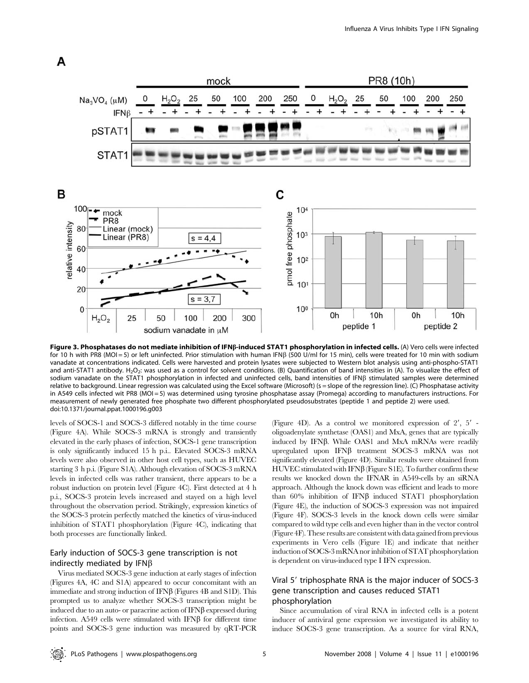

Figure 3. Phosphatases do not mediate inhibition of IFNß-induced STAT1 phosphorylation in infected cells. (A) Vero cells were infected for 10 h with PR8 (MOI = 5) or left uninfected. Prior stimulation with human IFNB (500 U/ml for 15 min), cells were treated for 10 min with sodium vanadate at concentrations indicated. Cells were harvested and protein lysates were subjected to Western blot analysis using anti-phospho-STAT1 and anti-STAT1 antibody. H<sub>2</sub>O<sub>2</sub>: was used as a control for solvent conditions. (B) Quantification of band intensities in (A). To visualize the effect of sodium vanadate on the STAT1 phosphorylation in infected and uninfected cells, band intensities of IFNB stimulated samples were determined relative to background. Linear regression was calculated using the Excel software (Microsoft) (s = slope of the regression line). (C) Phosphatase activity in A549 cells infected wit PR8 (MOI = 5) was determined using tyrosine phosphatase assay (Promega) according to manufacturers instructions. For measurement of newly generated free phosphate two different phosphorylated pseudosubstrates (peptide 1 and peptide 2) were used. doi:10.1371/journal.ppat.1000196.g003

levels of SOCS-1 and SOCS-3 differed notably in the time course (Figure 4A). While SOCS-3 mRNA is strongly and transiently elevated in the early phases of infection, SOCS-1 gene transcription is only significantly induced 15 h p.i.. Elevated SOCS-3 mRNA levels were also observed in other host cell types, such as HUVEC starting 3 h p.i. (Figure S1A). Although elevation of SOCS-3 mRNA levels in infected cells was rather transient, there appears to be a robust induction on protein level (Figure 4C). First detected at 4 h p.i., SOCS-3 protein levels increased and stayed on a high level throughout the observation period. Strikingly, expression kinetics of the SOCS-3 protein perfectly matched the kinetics of virus-induced inhibition of STAT1 phosphorylation (Figure 4C), indicating that both processes are functionally linked.

A

## Early induction of SOCS-3 gene transcription is not indirectly mediated by  $IFNB$

Virus mediated SOCS-3 gene induction at early stages of infection (Figures 4A, 4C and S1A) appeared to occur concomitant with an immediate and strong induction of IFN $\beta$  (Figures 4B and S1D). This prompted us to analyze whether SOCS-3 transcription might be induced due to an auto- or paracrine action of  $IFN\beta$  expressed during infection.  $A549$  cells were stimulated with IFN $\beta$  for different time points and SOCS-3 gene induction was measured by qRT-PCR

(Figure 4D). As a control we monitored expression of  $2'$ ,  $5'$  oligoadenylate synthetase (OAS1) and MxA, genes that are typically induced by IFNB. While OAS1 and MxA mRNAs were readily upregulated upon IFN $\beta$  treatment SOCS-3 mRNA was not significantly elevated (Figure 4D). Similar results were obtained from  $HUVEC$  stimulated with  $IFN\beta$  (Figure S1E). To further confirm these results we knocked down the IFNAR in A549-cells by an siRNA approach. Although the knock down was efficient and leads to more than  $60\%$  inhibition of IFN $\beta$  induced STAT1 phosphorylation (Figure 4E), the induction of SOCS-3 expression was not impaired (Figure 4F). SOCS-3 levels in the knock down cells were similar compared to wild type cells and even higher than in the vector control (Figure 4F). These results are consistent with data gained from previous experiments in Vero cells (Figure 1E) and indicate that neither induction of SOCS-3 mRNA nor inhibition of STAT phosphorylation is dependent on virus-induced type I IFN expression.

## Viral 5' triphosphate RNA is the major inducer of SOCS-3 gene transcription and causes reduced STAT1 phosphorylation

Since accumulation of viral RNA in infected cells is a potent inducer of antiviral gene expression we investigated its ability to induce SOCS-3 gene transcription. As a source for viral RNA,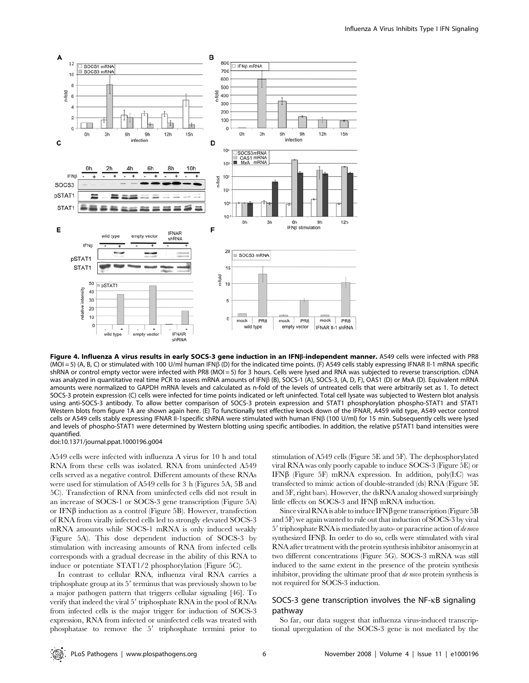

Figure 4. Influenza A virus results in early SOCS-3 gene induction in an IFNß-independent manner. A549 cells were infected with PR8  $(MOI = 5)$  (A, B, C) or stimulated with 100 U/ml human IFNB (D) for the indicated time points. (F) A549 cells stably expressing IFNAR II-1 mRNA specific shRNA or control empty vector were infected with PR8 (MOI = 5) for 3 hours. Cells were lysed and RNA was subjected to reverse transcription. cDNA was analyzed in quantitative real time PCR to assess mRNA amounts of IFNB (B), SOCS-1 (A), SOCS-3, (A, D, F), OAS1 (D) or MxA (D). Equivalent mRNA amounts were normalized to GAPDH mRNA levels and calculated as n-fold of the levels of untreated cells that were arbitrarily set as 1. To detect SOCS-3 protein expression (C) cells were infected for time points indicated or left uninfected. Total cell lysate was subjected to Western blot analysis using anti-SOCS-3 antibody. To allow better comparison of SOCS-3 protein expression and STAT1 phosphorylation phospho-STAT1 and STAT1 Western blots from figure 1A are shown again here. (E) To functionally test effective knock down of the IFNAR, A459 wild type, A549 vector control cells or A549 cells stably expressing IFNAR II-1specific shRNA were stimulated with human IFNB (100 U/ml) for 15 min. Subsequently cells were lysed and levels of phospho-STAT1 were determined by Western blotting using specific antibodies. In addition, the relative pSTAT1 band intensities were quantified.

doi:10.1371/journal.ppat.1000196.g004

A549 cells were infected with influenza A virus for 10 h and total RNA from these cells was isolated. RNA from uninfected A549 cells served as a negative control. Different amounts of these RNAs were used for stimulation of A549 cells for 3 h (Figures 5A, 5B and 5C). Transfection of RNA from uninfected cells did not result in an increase of SOCS-1 or SOCS-3 gene transcription (Figure 5A) or IFN $\beta$  induction as a control (Figure 5B). However, transfection of RNA from virally infected cells led to strongly elevated SOCS-3 mRNA amounts while SOCS-1 mRNA is only induced weakly (Figure 5A). This dose dependent induction of SOCS-3 by stimulation with increasing amounts of RNA from infected cells corresponds with a gradual decrease in the ability of this RNA to induce or potentiate STAT1/2 phosphorylation (Figure 5C).

In contrast to cellular RNA, influenza viral RNA carries a triphosphate group at its  $5'$  terminus that was previously shown to be a major pathogen pattern that triggers cellular signaling [46]. To verify that indeed the viral 5' triphosphate RNA in the pool of RNAs from infected cells is the major trigger for induction of SOCS-3 expression, RNA from infected or uninfected cells was treated with phosphatase to remove the 5' triphosphate termini prior to stimulation of A549 cells (Figure 5E and 5F). The dephosphorylated viral RNA was only poorly capable to induce SOCS-3 (Figure 5E) or IFN $\beta$  (Figure 5F) mRNA expression. In addition, poly(I:C) was transfected to mimic action of double-stranded (ds) RNA (Figure 5E and 5F, right bars). However, the dsRNA analog showed surprisingly little effects on SOCS-3 and IFN $\beta$  mRNA induction.

Since viral RNA is able to induce  $IFN\beta$  gene transcription (Figure 5B) and 5F) we again wanted to rule out that induction of SOCS-3 by viral 5' triphosphate RNA is mediated by auto- or paracrine action of de novo synthesized IFN $\beta$ . In order to do so, cells were stimulated with viral RNA after treatment with the protein synthesis inhibitor anisomycin at two different concentrations (Figure 5G). SOCS-3 mRNA was still induced to the same extent in the presence of the protein synthesis inhibitor, providing the ultimate proof that de novo protein synthesis is not required for SOCS-3 induction.

## SOCS-3 gene transcription involves the NF-kB signaling pathway

So far, our data suggest that influenza virus-induced transcriptional upregulation of the SOCS-3 gene is not mediated by the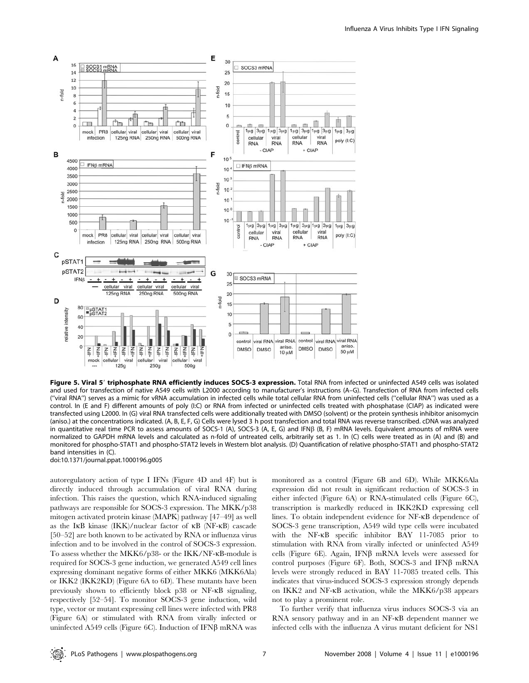

Figure 5. Viral 5' triphosphate RNA efficiently induces SOCS-3 expression. Total RNA from infected or uninfected A549 cells was isolated and used for transfection of native A549 cells with L2000 according to manufacturer's instructions (A–G). Transfection of RNA from infected cells (''viral RNA'') serves as a mimic for vRNA accumulation in infected cells while total cellular RNA from uninfected cells (''cellular RNA'') was used as a control. In (E and F) different amounts of poly (I:C) or RNA from infected or uninfected cells treated with phosphatase (CIAP) as indicated were transfected using L2000. In (G) viral RNA transfected cells were additionally treated with DMSO (solvent) or the protein synthesis inhibitor anisomycin (aniso.) at the concentrations indicated. (A, B, E, F, G) Cells were lysed 3 h post transfection and total RNA was reverse transcribed. cDNA was analyzed in quantitative real time PCR to assess amounts of SOCS-1 (A), SOCS-3 (A, E, G) and IFNB (B, F) mRNA levels. Equivalent amounts of mRNA were normalized to GAPDH mRNA levels and calculated as n-fold of untreated cells, arbitrarily set as 1. In (C) cells were treated as in (A) and (B) and monitored for phospho-STAT1 and phospho-STAT2 levels in Western blot analysis. (D) Quantification of relative phospho-STAT1 and phospho-STAT2 band intensities in (C).

doi:10.1371/journal.ppat.1000196.g005

autoregulatory action of type I IFNs (Figure 4D and 4F) but is directly induced through accumulation of viral RNA during infection. This raises the question, which RNA-induced signaling pathways are responsible for SOCS-3 expression. The MKK/p38 mitogen activated protein kinase (MAPK) pathway [47–49] as well as the IkB kinase (IKK)/nuclear factor of kB (NF-kB) cascade [50–52] are both known to be activated by RNA or influenza virus infection and to be involved in the control of SOCS-3 expression. To assess whether the MKK6/p38- or the IKK/NF-kB-module is required for SOCS-3 gene induction, we generated A549 cell lines expressing dominant negative forms of either MKK6 (MKK6Ala) or IKK2 (IKK2KD) (Figure 6A to 6D). These mutants have been previously shown to efficiently block p38 or NF-kB signaling, respectively [52–54]. To monitor SOCS-3 gene induction, wild type, vector or mutant expressing cell lines were infected with PR8 (Figure 6A) or stimulated with RNA from virally infected or uninfected A549 cells (Figure 6C). Induction of IFN $\beta$  mRNA was monitored as a control (Figure 6B and 6D). While MKK6Ala expression did not result in significant reduction of SOCS-3 in either infected (Figure 6A) or RNA-stimulated cells (Figure 6C), transcription is markedly reduced in IKK2KD expressing cell lines. To obtain independent evidence for NF-kB dependence of SOCS-3 gene transcription, A549 wild type cells were incubated with the NF-KB specific inhibitor BAY 11-7085 prior to stimulation with RNA from virally infected or uninfected A549 cells (Figure 6E). Again, IFN $\beta$  mRNA levels were assessed for control purposes (Figure 6F). Both, SOCS-3 and IFN $\beta$  mRNA levels were strongly reduced in BAY 11-7085 treated cells. This indicates that virus-induced SOCS-3 expression strongly depends on IKK2 and NF-kB activation, while the MKK6/p38 appears not to play a prominent role.

To further verify that influenza virus induces SOCS-3 via an RNA sensory pathway and in an NF-kB dependent manner we infected cells with the influenza A virus mutant deficient for NS1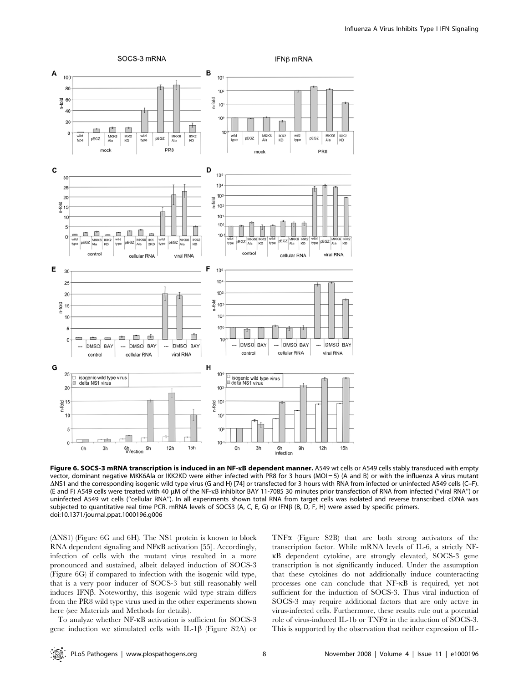

Figure 6. SOCS-3 mRNA transcription is induced in an NF-KB dependent manner. A549 wt cells or A549 cells stably transduced with empty vector, dominant negative MKK6Ala or IKK2KD were either infected with PR8 for 3 hours (MOI = 5) (A and B) or with the influenza A virus mutant DNS1 and the corresponding isogenic wild type virus (G and H) [74] or transfected for 3 hours with RNA from infected or uninfected A549 cells (C–F). (E and F) A549 cells were treated with 40 µM of the NF-kB inhibitor BAY 11-7085 30 minutes prior transfection of RNA from infected ("viral RNA") or uninfected A549 wt cells (''cellular RNA''). In all experiments shown total RNA from target cells was isolated and reverse transcribed. cDNA was subjected to quantitative real time PCR. mRNA levels of SOCS3 (A, C, E, G) or IFNB (B, D, F, H) were assed by specific primers. doi:10.1371/journal.ppat.1000196.g006

 $(ANS1)$  (Figure 6G and 6H). The NS1 protein is known to block RNA dependent signaling and NFkB activation [55]. Accordingly, infection of cells with the mutant virus resulted in a more pronounced and sustained, albeit delayed induction of SOCS-3 (Figure 6G) if compared to infection with the isogenic wild type, that is a very poor inducer of SOCS-3 but still reasonably well induces IFN $\beta$ . Noteworthy, this isogenic wild type strain differs from the PR8 wild type virus used in the other experiments shown here (see Materials and Methods for details).

To analyze whether NF-kB activation is sufficient for SOCS-3 gene induction we stimulated cells with IL-1 $\beta$  (Figure S2A) or

TNFa (Figure S2B) that are both strong activators of the transcription factor. While mRNA levels of IL-6, a strictly NFkB dependent cytokine, are strongly elevated, SOCS-3 gene transcription is not significantly induced. Under the assumption that these cytokines do not additionally induce counteracting processes one can conclude that NF-kB is required, yet not sufficient for the induction of SOCS-3. Thus viral induction of SOCS-3 may require additional factors that are only active in virus-infected cells. Furthermore, these results rule out a potential role of virus-induced IL-1b or TNFa in the induction of SOCS-3. This is supported by the observation that neither expression of IL-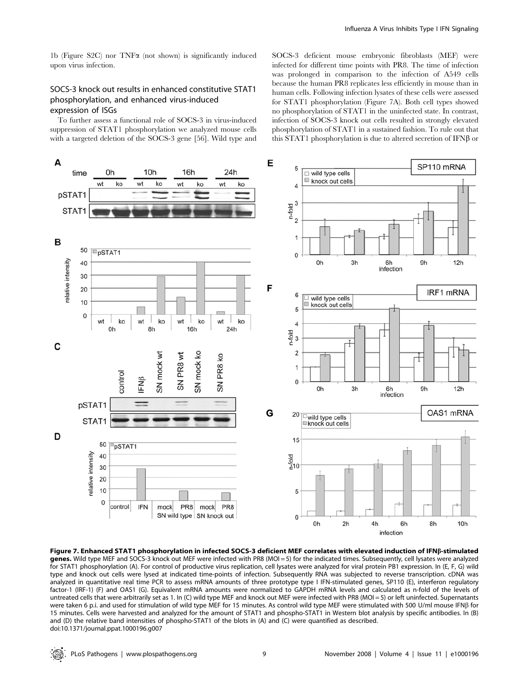1b (Figure S2C) nor  $TNF\alpha$  (not shown) is significantly induced upon virus infection.

## SOCS-3 knock out results in enhanced constitutive STAT1 phosphorylation, and enhanced virus-induced expression of ISGs

To further assess a functional role of SOCS-3 in virus-induced suppression of STAT1 phosphorylation we analyzed mouse cells with a targeted deletion of the SOCS-3 gene [56]. Wild type and SOCS-3 deficient mouse embryonic fibroblasts (MEF) were infected for different time points with PR8. The time of infection was prolonged in comparison to the infection of A549 cells because the human PR8 replicates less efficiently in mouse than in human cells. Following infection lysates of these cells were assessed for STAT1 phosphorylation (Figure 7A). Both cell types showed no phosphorylation of STAT1 in the uninfected state. In contrast, infection of SOCS-3 knock out cells resulted in strongly elevated phosphorylation of STAT1 in a sustained fashion. To rule out that this STAT1 phosphorylation is due to altered secretion of IFN $\beta$  or



Figure 7. Enhanced STAT1 phosphorylation in infected SOCS-3 deficient MEF correlates with elevated induction of IFNß-stimulated genes. Wild type MEF and SOCS-3 knock out MEF were infected with PR8 (MOI = 5) for the indicated times. Subsequently, cell lysates were analyzed for STAT1 phosphorylation (A). For control of productive virus replication, cell lysates were analyzed for viral protein PB1 expression. In (E, F, G) wild type and knock out cells were lysed at indicated time-points of infection. Subsequently RNA was subjected to reverse transcription. cDNA was analyzed in quantitative real time PCR to assess mRNA amounts of three prototype type I IFN-stimulated genes, SP110 (E), interferon regulatory factor-1 (IRF-1) (F) and OAS1 (G). Equivalent mRNA amounts were normalized to GAPDH mRNA levels and calculated as n-fold of the levels of untreated cells that were arbitrarily set as 1. In (C) wild type MEF and knock out MEF were infected with PR8 (MOI = 5) or left uninfected. Supernatants were taken 6 p.i. and used for stimulation of wild type MEF for 15 minutes. As control wild type MEF were stimulated with 500 U/ml mouse IFNß for 15 minutes. Cells were harvested and analyzed for the amount of STAT1 and phospho-STAT1 in Western blot analysis by specific antibodies. In (B) and (D) the relative band intensities of phospho-STAT1 of the blots in (A) and (C) were quantified as described. doi:10.1371/journal.ppat.1000196.g007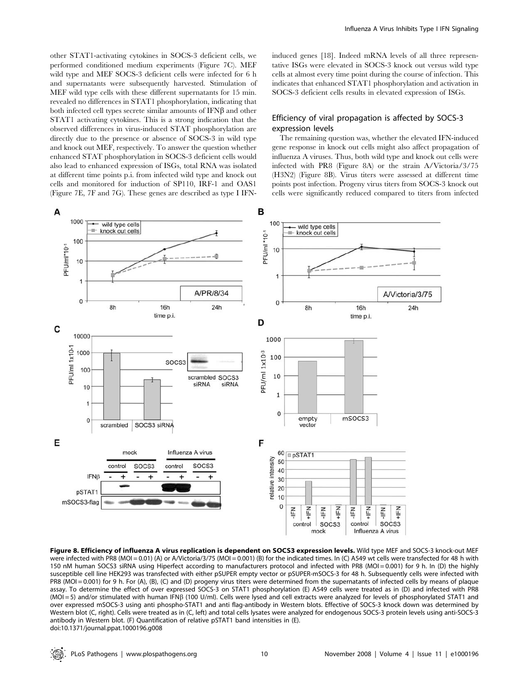other STAT1-activating cytokines in SOCS-3 deficient cells, we performed conditioned medium experiments (Figure 7C). MEF wild type and MEF SOCS-3 deficient cells were infected for 6 h and supernatants were subsequently harvested. Stimulation of MEF wild type cells with these different supernatants for 15 min. revealed no differences in STAT1 phosphorylation, indicating that both infected cell types secrete similar amounts of  $IFN\beta$  and other STAT1 activating cytokines. This is a strong indication that the observed differences in virus-induced STAT phosphorylation are directly due to the presence or absence of SOCS-3 in wild type and knock out MEF, respectively. To answer the question whether enhanced STAT phosphorylation in SOCS-3 deficient cells would also lead to enhanced expression of ISGs, total RNA was isolated at different time points p.i. from infected wild type and knock out cells and monitored for induction of SP110, IRF-1 and OAS1 (Figure 7E, 7F and 7G). These genes are described as type I IFN- induced genes [18]. Indeed mRNA levels of all three representative ISGs were elevated in SOCS-3 knock out versus wild type cells at almost every time point during the course of infection. This indicates that enhanced STAT1 phosphorylation and activation in SOCS-3 deficient cells results in elevated expression of ISGs.

## Efficiency of viral propagation is affected by SOCS-3 expression levels

The remaining question was, whether the elevated IFN-induced gene response in knock out cells might also affect propagation of influenza A viruses. Thus, both wild type and knock out cells were infected with PR8 (Figure 8A) or the strain A/Victoria/3/75 (H3N2) (Figure 8B). Virus titers were assessed at different time points post infection. Progeny virus titers from SOCS-3 knock out cells were significantly reduced compared to titers from infected



Figure 8. Efficiency of influenza A virus replication is dependent on SOCS3 expression levels. Wild type MEF and SOCS-3 knock-out MEF were infected with PR8 (MOI = 0.01) (A) or A/Victoria/3/75 (MOI = 0.001) (B) for the indicated times. In (C) A549 wt cells were transfected for 48 h with 150 nM human SOCS3 siRNA using Hiperfect according to manufacturers protocol and infected with PR8 (MOI = 0.001) for 9 h. In (D) the highly susceptible cell line HEK293 was transfected with either pSUPER empty vector or pSUPER-mSOCS-3 for 48 h. Subsequently cells were infected with PR8 (MOI = 0.001) for 9 h. For (A), (B), (C) and (D) progeny virus titers were determined from the supernatants of infected cells by means of plaque assay. To determine the effect of over expressed SOCS-3 on STAT1 phosphorylation (E) A549 cells were treated as in (D) and infected with PR8  $(MOI = 5)$  and/or stimulated with human IFNB (100 U/ml). Cells were lysed and cell extracts were analyzed for levels of phosphorylated STAT1 and over expressed mSOCS-3 using anti phospho-STAT1 and anti flag-antibody in Western blots. Effective of SOCS-3 knock down was determined by Western blot (C, right). Cells were treated as in (C, left) and total cells lysates were analyzed for endogenous SOCS-3 protein levels using anti-SOCS-3 antibody in Western blot. (F) Quantification of relative pSTAT1 band intensities in (E). doi:10.1371/journal.ppat.1000196.g008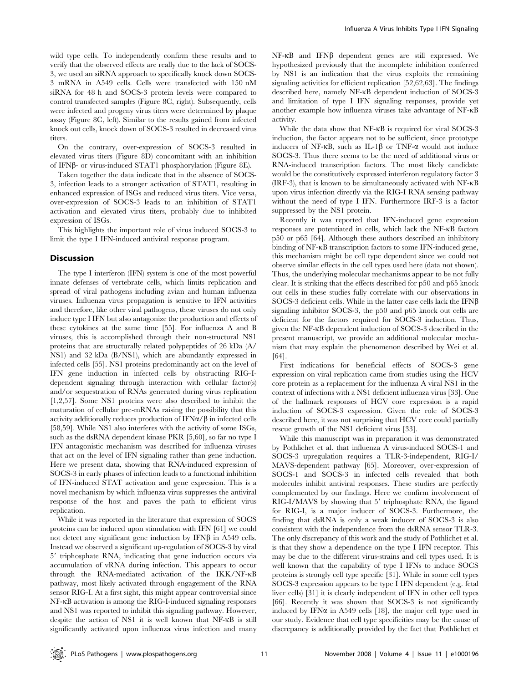wild type cells. To independently confirm these results and to verify that the observed effects are really due to the lack of SOCS-3, we used an siRNA approach to specifically knock down SOCS-3 mRNA in A549 cells. Cells were transfected with 150 nM siRNA for 48 h and SOCS-3 protein levels were compared to control transfected samples (Figure 8C, right). Subsequently, cells were infected and progeny virus titers were determined by plaque assay (Figure 8C, left). Similar to the results gained from infected knock out cells, knock down of SOCS-3 resulted in decreased virus titers.

On the contrary, over-expression of SOCS-3 resulted in elevated virus titers (Figure 8D) concomitant with an inhibition of IFNb- or virus-induced STAT1 phosphorylation (Figure 8E).

Taken together the data indicate that in the absence of SOCS-3, infection leads to a stronger activation of STAT1, resulting in enhanced expression of ISGs and reduced virus titers. Vice versa, over-expression of SOCS-3 leads to an inhibition of STAT1 activation and elevated virus titers, probably due to inhibited expression of ISGs.

This highlights the important role of virus induced SOCS-3 to limit the type I IFN-induced antiviral response program.

#### Discussion

The type I interferon (IFN) system is one of the most powerful innate defenses of vertebrate cells, which limits replication and spread of viral pathogens including avian and human influenza viruses. Influenza virus propagation is sensitive to IFN activities and therefore, like other viral pathogens, these viruses do not only induce type I IFN but also antagonize the production and effects of these cytokines at the same time [55]. For influenza A and B viruses, this is accomplished through their non-structural NS1 proteins that are structurally related polypeptides of 26 kDa (A/ NS1) and 32 kDa (B/NS1), which are abundantly expressed in infected cells [55]. NS1 proteins predominantly act on the level of IFN gene induction in infected cells by obstructing RIG-Idependent signaling through interaction with cellular factor(s) and/or sequestration of RNAs generated during virus replication [1,2,57]. Some NS1 proteins were also described to inhibit the maturation of cellular pre-mRNAs raising the possibility that this activity additionally reduces production of  $IFN\alpha/\beta$  in infected cells [58,59]. While NS1 also interferes with the activity of some ISGs, such as the dsRNA dependent kinase PKR [5,60], so far no type I IFN antagonistic mechanism was described for influenza viruses that act on the level of IFN signaling rather than gene induction. Here we present data, showing that RNA-induced expression of SOCS-3 in early phases of infection leads to a functional inhibition of IFN-induced STAT activation and gene expression. This is a novel mechanism by which influenza virus suppresses the antiviral response of the host and paves the path to efficient virus replication.

While it was reported in the literature that expression of SOCS proteins can be induced upon stimulation with IFN [61] we could not detect any significant gene induction by  $IFN\beta$  in A549 cells. Instead we observed a significant up-regulation of SOCS-3 by viral  $5'$  triphosphate RNA, indicating that gene induction occurs via accumulation of vRNA during infection. This appears to occur through the RNA-mediated activation of the IKK/NF-kB pathway, most likely activated through engagement of the RNA sensor RIG-I. At a first sight, this might appear controversial since NF-kB activation is among the RIG-I-induced signaling responses and NS1 was reported to inhibit this signaling pathway. However, despite the action of NS1 it is well known that NF-kB is still significantly activated upon influenza virus infection and many

 $NF-\kappa B$  and  $IFN\beta$  dependent genes are still expressed. We hypothesized previously that the incomplete inhibition conferred by NS1 is an indication that the virus exploits the remaining signaling activities for efficient replication [52,62,63]. The findings described here, namely NF-kB dependent induction of SOCS-3 and limitation of type I IFN signaling responses, provide yet another example how influenza viruses take advantage of NF-kB activity.

While the data show that NF-KB is required for viral SOCS-3 induction, the factor appears not to be sufficient, since prototype inducers of NF- $\kappa$ B, such as IL-1 $\beta$  or TNF- $\alpha$  would not induce SOCS-3. Thus there seems to be the need of additional virus or RNA-induced transcription factors. The most likely candidate would be the constitutively expressed interferon regulatory factor 3 (IRF-3), that is known to be simultaneously activated with NF-kB upon virus infection directly via the RIG-I RNA sensing pathway without the need of type I IFN. Furthermore IRF-3 is a factor suppressed by the NS1 protein.

Recently it was reported that IFN-induced gene expression responses are potentiated in cells, which lack the NF-kB factors p50 or p65 [64]. Although these authors described an inhibitory binding of NF- $\kappa$ B transcription factors to some IFN-induced gene, this mechanism might be cell type dependent since we could not observe similar effects in the cell types used here (data not shown). Thus, the underlying molecular mechanisms appear to be not fully clear. It is striking that the effects described for p50 and p65 knock out cells in these studies fully correlate with our observations in SOCS-3 deficient cells. While in the latter case cells lack the IFN $\beta$ signaling inhibitor SOCS-3, the p50 and p65 knock out cells are deficient for the factors required for SOCS-3 induction. Thus, given the NF-kB dependent induction of SOCS-3 described in the present manuscript, we provide an additional molecular mechanism that may explain the phenomenon described by Wei et al. [64].

First indications for beneficial effects of SOCS-3 gene expression on viral replication came from studies using the HCV core protein as a replacement for the influenza A viral NS1 in the context of infections with a NS1 deficient influenza virus [33]. One of the hallmark responses of HCV core expression is a rapid induction of SOCS-3 expression. Given the role of SOCS-3 described here, it was not surprising that HCV core could partially rescue growth of the NS1 deficient virus [33].

While this manuscript was in preparation it was demonstrated by Pothlichet et al. that influenza A virus-induced SOCS-1 and SOCS-3 upregulation requires a TLR-3-independent, RIG-I/ MAVS-dependent pathway [65]. Moreover, over-expression of SOCS-1 and SOCS-3 in infected cells revealed that both molecules inhibit antiviral responses. These studies are perfectly complemented by our findings. Here we confirm involvement of RIG-I/MAVS by showing that 5' triphosphate RNA, the ligand for RIG-I, is a major inducer of SOCS-3. Furthermore, the finding that dsRNA is only a weak inducer of SOCS-3 is also consistent with the independence from the dsRNA sensor TLR-3. The only discrepancy of this work and the study of Pothlichet et al. is that they show a dependence on the type I IFN receptor. This may be due to the different virus-strains and cell types used. It is well known that the capability of type I IFNs to induce SOCS proteins is strongly cell type specific [31]. While in some cell types SOCS-3 expression appears to be type I IFN dependent (e.g. fetal liver cells) [31] it is clearly independent of IFN in other cell types [66]. Recently it was shown that SOCS-3 is not significantly induced by IFN $\alpha$  in A549 cells [18], the major cell type used in our study. Evidence that cell type specificities may be the cause of discrepancy is additionally provided by the fact that Pothlichet et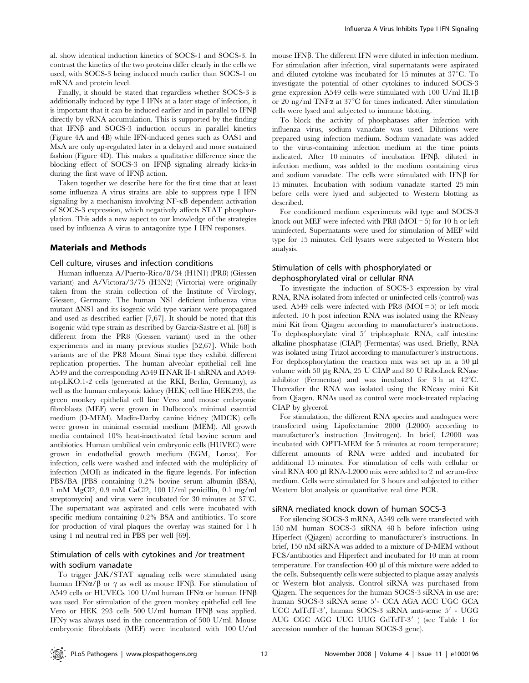al. show identical induction kinetics of SOCS-1 and SOCS-3. In contrast the kinetics of the two proteins differ clearly in the cells we used, with SOCS-3 being induced much earlier than SOCS-1 on mRNA and protein level.

Finally, it should be stated that regardless whether SOCS-3 is additionally induced by type I IFNs at a later stage of infection, it is important that it can be induced earlier and in parallel to  $IFN\beta$ directly by vRNA accumulation. This is supported by the finding that IFN $\beta$  and SOCS-3 induction occurs in parallel kinetics (Figure 4A and 4B) while IFN-induced genes such as OAS1 and MxA are only up-regulated later in a delayed and more sustained fashion (Figure 4D). This makes a qualitative difference since the blocking effect of SOCS-3 on IFN $\beta$  signaling already kicks-in during the first wave of  $IFN\beta$  action.

Taken together we describe here for the first time that at least some influenza A virus strains are able to suppress type I IFN signaling by a mechanism involving NF-kB dependent activation of SOCS-3 expression, which negatively affects STAT phosphorylation. This adds a new aspect to our knowledge of the strategies used by influenza A virus to antagonize type I IFN responses.

#### Materials and Methods

#### Cell culture, viruses and infection conditions

Human influenza A/Puerto-Rico/8/34 (H1N1) (PR8) (Giessen variant) and A/Victora/3/75 (H3N2) (Victoria) were originally taken from the strain collection of the Institute of Virology, Giessen, Germany. The human NS1 deficient influenza virus mutant  $\Delta$ NS1 and its isogenic wild type variant were propagated and used as described earlier [7,67]. It should be noted that this isogenic wild type strain as described by Garcia-Sastre et al. [68] is different from the PR8 (Giessen variant) used in the other experiments and in many previous studies [52,67]. While both variants are of the PR8 Mount Sinai type they exhibit different replication properties. The human alveolar epithelial cell line A549 and the corresponding A549 IFNAR II-1 shRNA and A549 nt-pLKO.1-2 cells (generated at the RKI, Berlin, Germany), as well as the human embryonic kidney (HEK) cell line HEK293, the green monkey epithelial cell line Vero and mouse embryonic fibroblasts (MEF) were grown in Dulbecco's minimal essential medium (D-MEM). Madin-Darby canine kidney (MDCK) cells were grown in minimal essential medium (MEM). All growth media contained 10% heat-inactivated fetal bovine serum and antibiotics. Human umbilical vein embryonic cells (HUVEC) were grown in endothelial growth medium (EGM, Lonza). For infection, cells were washed and infected with the multiplicity of infection (MOI) as indicated in the figure legends. For infection PBS/BA [PBS containing 0.2% bovine serum albumin (BSA), 1 mM MgCl2, 0.9 mM CaCl2, 100 U/ml penicillin, 0.1 mg/ml streptomycin] and virus were incubated for 30 minutes at  $37^{\circ}$ C. The supernatant was aspirated and cells were incubated with specific medium containing 0.2% BSA and antibiotics. To score for production of viral plaques the overlay was stained for 1 h using 1 ml neutral red in PBS per well [69].

## Stimulation of cells with cytokines and /or treatment with sodium vanadate

To trigger JAK/STAT signaling cells were stimulated using human IFN $\alpha/\beta$  or  $\gamma$  as well as mouse IFN $\beta$ . For stimulation of A549 cells or HUVECs 100 U/ml human IFN $\alpha$  or human IFN $\beta$ was used. For stimulation of the green monkey epithelial cell line Vero or HEK 293 cells 500 U/ml human IFN $\beta$  was applied. IFN $\gamma$  was always used in the concentration of 500 U/ml. Mouse embryonic fibroblasts (MEF) were incubated with 100 U/ml

mouse IFN $\beta$ . The different IFN were diluted in infection medium. For stimulation after infection, viral supernatants were aspirated and diluted cytokine was incubated for  $15$  minutes at  $37^{\circ}$ C. To investigate the potential of other cytokines to induced SOCS-3 gene expression A549 cells were stimulated with 100 U/ml IL1 $\beta$ or 20 ng/ml TNF $\alpha$  at 37°C for times indicated. After stimulation cells were lysed and subjected to immune blotting.

To block the activity of phosphatases after infection with influenza virus, sodium vanadate was used. Dilutions were prepared using infection medium. Sodium vanadate was added to the virus-containing infection medium at the time points indicated. After 10 minutes of incubation IFNB, diluted in infection medium, was added to the medium containing virus and sodium vanadate. The cells were stimulated with IFN $\beta$  for 15 minutes. Incubation with sodium vanadate started 25 min before cells were lysed and subjected to Western blotting as described.

For conditioned medium experiments wild type and SOCS-3 knock out MEF were infected with PR8 (MOI =  $5$ ) for 10 h or left uninfected. Supernatants were used for stimulation of MEF wild type for 15 minutes. Cell lysates were subjected to Western blot analysis.

## Stimulation of cells with phosphorylated or dephosphorylated viral or cellular RNA

To investigate the induction of SOCS-3 expression by viral RNA, RNA isolated from infected or uninfected cells (control) was used. A549 cells were infected with PR8  $(MOI = 5)$  or left mock infected. 10 h post infection RNA was isolated using the RNeasy mini Kit from Qiagen according to manufacturer's instructions. To dephosphorylate viral 5' triphosphate RNA, calf intestine alkaline phosphatase (CIAP) (Fermentas) was used. Briefly, RNA was isolated using Trizol according to manufacturer's instructions. For dephosphorylation the reaction mix was set up in a  $50 \mu l$ volume with 50 µg RNA, 25 U CIAP and 80 U RiboLock RNase inhibitor (Fermentas) and was incubated for 3 h at  $42^{\circ}$ C. Thereafter the RNA was isolated using the RNeasy mini Kit from Qiagen. RNAs used as control were mock-treated replacing CIAP by glycerol.

For stimulation, the different RNA species and analogues were transfected using Lipofectamine 2000 (L2000) according to manufacturer's instruction (Invitrogen). In brief, L2000 was incubated with OPTI-MEM for 5 minutes at room temperature; different amounts of RNA were added and incubated for additional 15 minutes. For stimulation of cells with cellular or viral RNA 400 µl RNA-L2000 mix were added to 2 ml serum-free medium. Cells were stimulated for 3 hours and subjected to either Western blot analysis or quantitative real time PCR.

#### siRNA mediated knock down of human SOCS-3

For silencing SOCS-3 mRNA, A549 cells were transfected with 150 nM human SOCS-3 siRNA 48 h before infection using Hiperfect (Qiagen) according to manufacturer's instructions. In brief, 150 nM siRNA was added to a mixture of D-MEM without FCS/antibiotics and Hiperfect and incubated for 10 min at room temperature. For transfection 400  $\mu$ l of this mixture were added to the cells. Subsequently cells were subjected to plaque assay analysis or Western blot analysis. Control siRNA was purchased from Qiagen. The sequences for the human SOCS-3 siRNA in use are: human SOCS-3 siRNA sense 5'- CCA AGA ACC UGC GCA UCC AdTdT-3', human SOCS-3 siRNA anti-sense 5' - UGG AUG CGC AGG UUC UUG GdTdT-3' ) (see Table 1 for accession number of the human SOCS-3 gene).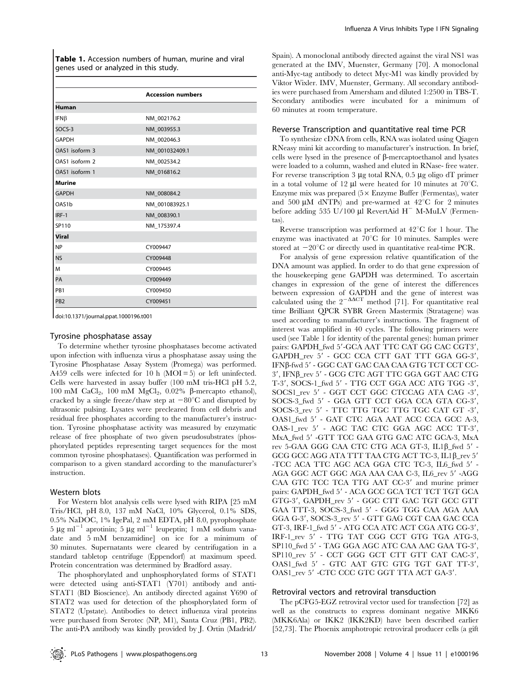Table 1. Accession numbers of human, murine and viral genes used or analyzed in this study.

|                    | <b>Accession numbers</b> |
|--------------------|--------------------------|
| <b>Human</b>       |                          |
| $IFN\beta$         | NM 002176.2              |
| SOCS-3             | NM 003955.3              |
| <b>GAPDH</b>       | NM 002046.3              |
| OAS1 isoform 3     | NM_001032409.1           |
| OAS1 isoform 2     | NM_002534.2              |
| OAS1 isoform 1     | NM 016816.2              |
| <b>Murine</b>      |                          |
| <b>GAPDH</b>       | NM 008084.2              |
| OAS <sub>1</sub> b | NM 001083925.1           |
| IRF-1              | NM_008390.1              |
| SP110              | NM 175397.4              |
| <b>Viral</b>       |                          |
| <b>NP</b>          | CY009447                 |
| <b>NS</b>          | CY009448                 |
| M                  | CY009445                 |
| PA                 | CY009449                 |
| PB <sub>1</sub>    | CY009450                 |
| PB <sub>2</sub>    | CY009451                 |

doi:10.1371/journal.ppat.1000196.t001

#### Tyrosine phosphatase assay

To determine whether tyrosine phosphatases become activated upon infection with influenza virus a phosphatase assay using the Tyrosine Phosphatase Assay System (Promega) was performed. A459 cells were infected for 10 h  $(MOI = 5)$  or left uninfected. Cells were harvested in assay buffer (100 mM tris-HCl pH 5.2, 100 mM  $CaCl<sub>2</sub>$ , 100 mM  $MgCl<sub>2</sub>$ , 0.02%  $\beta$ -mercapto ethanol), cracked by a single freeze/thaw step at  $-80^{\circ}$ C and disrupted by ultrasonic pulsing. Lysates were precleared from cell debris and residual free phosphates according to the manufacturer's instruction. Tyrosine phosphatase activity was measured by enzymatic release of free phosphate of two given pseudosubstrates (phosphorylated peptides representing target sequences for the most common tyrosine phosphatases). Quantification was performed in comparison to a given standard according to the manufacturer's instruction.

#### Western blots

For Western blot analysis cells were lysed with RIPA [25 mM Tris/HCl, pH 8.0, 137 mM NaCl, 10% Glycerol, 0.1% SDS, 0.5% NaDOC, 1% IgePal, 2 mM EDTA, pH 8.0, pyrophosphate 5  $\mu$ g ml<sup>-1</sup> aprotinin; 5  $\mu$ g ml<sup>-1</sup> leupeptin; 1 mM sodium vanadate and 5 mM benzamidine] on ice for a minimum of 30 minutes. Supernatants were cleared by centrifugation in a standard tabletop centrifuge (Eppendorf) at maximum speed. Protein concentration was determined by Bradford assay.

The phosphorylated and unphosphorylated forms of STAT1 were detected using anti-STAT1 (Y701) antibody and anti-STAT1 (BD Bioscience). An antibody directed against Y690 of STAT2 was used for detection of the phosphorylated form of STAT2 (Upstate). Antibodies to detect influenza viral proteins were purchased from Serotec (NP, M1), Santa Cruz (PB1, PB2). The anti-PA antibody was kindly provided by J. Ortin (Madrid/

Spain). A monoclonal antibody directed against the viral NS1 was generated at the IMV, Muenster, Germany [70]. A monoclonal anti-Myc-tag antibody to detect Myc-M1 was kindly provided by Viktor Wixler. IMV, Muenster, Germany. All secondary antibodies were purchased from Amersham and diluted 1:2500 in TBS-T. Secondary antibodies were incubated for a minimum of 60 minutes at room temperature.

#### Reverse Transcription and quantitative real time PCR

To synthesize cDNA from cells, RNA was isolated using Qiagen RNeasy mini kit according to manufacturer's instruction. In brief, cells were lysed in the presence of b-mercaptoethanol and lysates were loaded to a column, washed and eluted in RNase- free water. For reverse transcription 3  $\mu$ g total RNA, 0.5  $\mu$ g oligo dT primer in a total volume of 12  $\mu$ l were heated for 10 minutes at 70 $^{\circ}$ C. Enzyme mix was prepared ( $5 \times$  Enzyme Buffer (Fermentas), water and 500  $\mu$ M dNTPs) and pre-warmed at 42°C for 2 minutes before adding 535 U/100  $\mu$ l RevertAid H<sup>-</sup> M-MuLV (Fermentas).

Reverse transcription was performed at  $42^{\circ}$ C for 1 hour. The enzyme was inactivated at  $70^{\circ}$ C for 10 minutes. Samples were stored at  $-20^{\circ}$ C or directly used in quantitative real-time PCR.

For analysis of gene expression relative quantification of the DNA amount was applied. In order to do that gene expression of the housekeeping gene GAPDH was determined. To ascertain changes in expression of the gene of interest the differences between expression of GAPDH and the gene of interest was calculated using the  $2^{-\Delta\Delta CT}$  method [71]. For quantitative real time Brilliant QPCR SYBR Green Mastermix (Stratagene) was used according to manufacturer's instructions. The fragment of interest was amplified in 40 cycles. The following primers were used (see Table 1 for identity of the parental genes): human primer pairs: GAPDH\_fwd 5'-GCA AAT TTC CAT GG CAC CGT3', GAPDH\_rev 5' - GCC CCA CTT GAT TTT GGA GG-3'. IFNβ-fwd 5' - GGC CAT GAC CAA CAA GTG TCT CCT CC-3', IFNB\_rev 5' - GCG CTC AGT TTC GGA GGT AAC CTG T-3', SOCS-1\_fwd 5' - TTG CCT GGA ACC ATG TGG -3', SOCS1\_rev 5' - GGT CCT GGC CTCCAG ATA CAG -3', SOCS-3\_fwd 5' - GGA GTT CCT GGA CCA GTA CG-3', SOCS-3\_rev 5' - TTC TTG TGC TTG TGC CAT GT -3' OAS1\_fwd 5' - GAT CTC AGA AAT ACC CCA GCC A-3, OAS-1\_rev 5' - AGC TAC CTC GGA AGC ACC TT-3', MxA\_fwd 5' -GTT TCC GAA GTG GAC ATC GCA-3, MxA rev 5-GAA GGG CAA CTC CTG ACA GT-3, IL1 $\beta$ \_fwd 5' -GCG GCC AGG ATA TTT TAA CTG ACT TC-3, IL1 $\beta$ \_rev 5' -TCC ACA TTC AGC ACA GGA CTC TC-3, IL6\_fwd 5' -AGA GGC ACT GGC AGA AAA CAA C-3, IL6 rev 5' -AGG CAA GTC TCC TCA TTG AAT CC-3' and murine primer pairs: GAPDH\_fwd 5' - ACA GCC GCA TCT TCT TGT GCA GTG-3', GAPDH\_rev 5' - GGC CTT GAC TGT GCC GTT GAA TTT-3, SOCS-3\_fwd 5' - GGG TGG CAA AGA AAA GGA G-3', SOCS-3\_rev 5' - GTT GAG CGT CAA GAC CCA GT-3, IRF-1\_fwd 5' - ATG CCA ATC ACT CGA ATG CG-3', IRF-1\_rev 5' - TTG TAT CGG CCT GTG TGA ATG-3, SP110\_fwd 5' - TAG GGA AGC ATC CAA AAC GAA TG-3', SP110\_rev 5' - CCT GGG GCT CTT GTT CAT CAC-3', OAS1\_fwd 5' - GTC AAT GTC GTG TGT GAT TT-3', OAS1\_rev 5' -CTC CCC GTC GGT TTA ACT GA-3'.

## Retroviral vectors and retroviral transduction

The pCFG5-EGZ retroviral vector used for transfection [72] as well as the constructs to express dominant negative MKK6 (MKK6Ala) or IKK2 (IKK2KD) have been described earlier [52,73]. The Phoenix amphotropic retroviral producer cells (a gift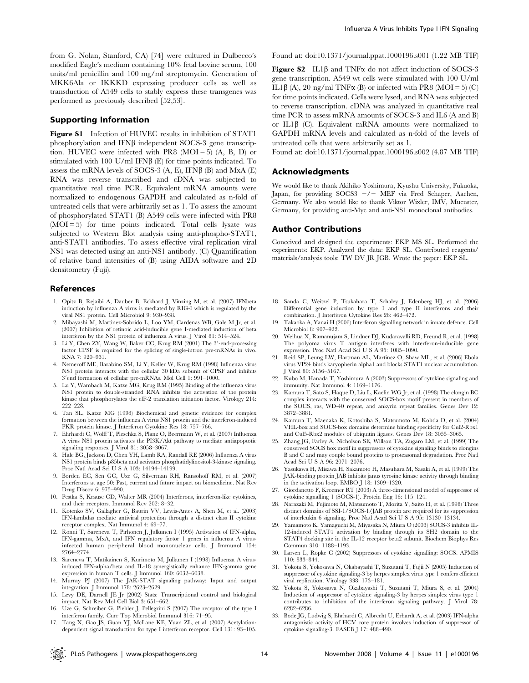from G. Nolan, Stanford, CA) [74] were cultured in Dulbecco's modified Eagle's medium containing 10% fetal bovine serum, 100 units/ml penicillin and 100 mg/ml streptomycin. Generation of MKK6Ala or IKKKD expressing producer cells as well as transduction of A549 cells to stably express these transgenes was performed as previously described [52,53].

#### Supporting Information

Figure S1 Infection of HUVEC results in inhibition of STAT1 phosphorylation and IFN $\beta$  independent SOCS-3 gene transcription. HUVEC were infected with PR8  $(MOI = 5)$   $(A, B, D)$  or stimulated with 100 U/ml IFN $\beta$  (E) for time points indicated. To assess the mRNA levels of SOCS-3  $(A, E)$ , IFN $\beta$  (B) and MxA (E) RNA was reverse transcribed and cDNA was subjected to quantitative real time PCR. Equivalent mRNA amounts were normalized to endogenous GAPDH and calculated as n-fold of untreated cells that were arbitrarily set as 1. To assess the amount of phosphorylated STAT1 (B) A549 cells were infected with PR8  $(MOI = 5)$  for time points indicated. Total cells lysate was subjected to Western Blot analysis using anti-phospho-STAT1, anti-STAT1 antibodies. To assess effective viral replication viral NS1 was detected using an anti-NS1 antibody. (C) Quantification of relative band intensities of (B) using AIDA software and 2D densitometry (Fuji).

#### References

- 1. Opitz B, Rejaibi A, Dauber B, Eckhard J, Vinzing M, et al. (2007) IFNbeta induction by influenza A virus is mediated by RIG-I which is regulated by the viral NS1 protein. Cell Microbiol 9: 930–938.
- 2. Mibayashi M, Martinez-Sobrido L, Loo YM, Cardenas WB, Gale M Jr, et al. (2007) Inhibition of retinoic acid-inducible gene I-mediated induction of beta interferon by the NS1 protein of influenza A virus. J Virol 81: 514–524.
- 3. Li Y, Chen ZY, Wang W, Baker CC, Krug RM (2001) The 3'-end-processing factor CPSF is required for the splicing of single-intron pre-mRNAs in vivo. RNA 7: 920–931.
- 4. Nemeroff ME, Barabino SM, Li Y, Keller W, Krug RM (1998) Influenza virus NS1 protein interacts with the cellular 30 kDa subunit of CPSF and inhibits 3'end formation of cellular pre-mRNAs. Mol Cell 1: 991-1000.
- 5. Lu Y, Wambach M, Katze MG, Krug RM (1995) Binding of the influenza virus NS1 protein to double-stranded RNA inhibits the activation of the protein kinase that phosphorylates the elF-2 translation initiation factor. Virology 214: 222–228.
- 6. Tan SL, Katze MG (1998) Biochemical and genetic evidence for complex formation between the influenza A virus NS1 protein and the interferon-induced PKR protein kinase. J Interferon Cytokine Res 18: 757–766.
- 7. Ehrhardt C, Wolff T, Pleschka S, Planz O, Beermann W, et al. (2007) Influenza A virus NS1 protein activates the PI3K/Akt pathway to mediate antiapoptotic signaling responses. J Virol 81: 3058–3067.
- 8. Hale BG, Jackson D, Chen YH, Lamb RA, Randall RE (2006) Influenza A virus NS1 protein binds p85beta and activates phosphatidylinositol-3-kinase signaling. Proc Natl Acad Sci U S A 103: 14194–14199.
- 9. Borden EC, Sen GC, Uze G, Silverman RH, Ransohoff RM, et al. (2007) Interferons at age 50: Past, current and future impact on biomedicine. Nat Rev Drug Discov 6: 975–990.
- 10. Pestka S, Krause CD, Walter MR (2004) Interferons, interferon-like cytokines, and their receptors. Immunol Rev 202: 8–32.
- 11. Kotenko SV, Gallagher G, Baurin VV, Lewis-Antes A, Shen M, et al. (2003) IFN-lambdas mediate antiviral protection through a distinct class II cytokine receptor complex. Nat Immunol 4: 69–77.
- 12. Ronni T, Sareneva T, Pirhonen J, Julkunen I (1995) Activation of IFN-alpha, IFN-gamma, MxA, and IFN regulatory factor 1 genes in influenza A virusinfected human peripheral blood mononuclear cells. J Immunol 154: 2764–2774.
- 13. Sareneva T, Matikainen S, Kurimoto M, Julkunen I (1998) Influenza A virusinduced IFN-alpha/beta and IL-18 synergistically enhance IFN-gamma gene expression in human T cells. J Immunol 160: 6032–6038.
- 14. Murray PJ (2007) The JAK-STAT signaling pathway: Input and output integration. J Immunol 178: 2623–2629.
- 15. Levy DE, Darnell JE Jr (2002) Stats: Transcriptional control and biological impact. Nat Rev Mol Cell Biol 3: 651–662.
- 16. Uze G, Schreiber G, Piehler J, Pellegrini S (2007) The receptor of the type I interferon family. Curr Top Microbiol Immunol 316: 71–95.
- 17. Tang X, Gao JS, Guan YJ, McLane KE, Yuan ZL, et al. (2007) Acetylationdependent signal transduction for type I interferon receptor. Cell 131: 93–105.

Found at: doi:10.1371/journal.ppat.1000196.s001 (1.22 MB TIF)

Figure S2 IL1 $\beta$  and TNF $\alpha$  do not affect induction of SOCS-3 gene transcription. A549 wt cells were stimulated with 100 U/ml IL1β (A), 20 ng/ml TNFα (B) or infected with PR8 (MOI = 5) (C) for time points indicated. Cells were lysed, and RNA was subjected to reverse transcription. cDNA was analyzed in quantitative real time PCR to assess mRNA amounts of SOCS-3 and IL6 (A and B) or IL1 $\beta$  (C). Equivalent mRNA amounts were normalized to GAPDH mRNA levels and calculated as n-fold of the levels of untreated cells that were arbitrarily set as 1.

Found at: doi:10.1371/journal.ppat.1000196.s002 (4.87 MB TIF)

## Acknowledgments

We would like to thank Akihiko Yoshimura, Kyushu University, Fukuoka, Japan, for providing  $SOCS3$   $-/-$  MEF via Fred Schaper, Aachen, Germany. We also would like to thank Viktor Wixler, IMV, Muenster, Germany, for providing anti-Myc and anti-NS1 monoclonal antibodies.

#### Author Contributions

Conceived and designed the experiments: EKP MS SL. Performed the experiments: EKP. Analyzed the data: EKP SL. Contributed reagents/ materials/analysis tools: TW DV JR JGB. Wrote the paper: EKP SL.

- 18. Sanda C, Weitzel P, Tsukahara T, Schaley J, Edenberg HJ, et al. (2006) Differential gene induction by type I and type II interferons and their combination. J Interferon Cytokine Res 26: 462–472.
- 19. Takaoka A, Yanai H (2006) Interferon signalling network in innate defence. Cell Microbiol 8: 907–922.
- 20. Weihua X, Ramanujam S, Lindner DJ, Kudaravalli RD, Freund R, et al. (1998) The polyoma virus T antigen interferes with interferon-inducible gene expression. Proc Natl Acad Sci U S A 95: 1085–1090.
- 21. Reid SP, Leung LW, Hartman AL, Martinez O, Shaw ML, et al. (2006) Ebola virus VP24 binds karyopherin alpha1 and blocks STAT1 nuclear accumulation. J Virol 80: 5156–5167.
- 22. Kubo M, Hanada T, Yoshimura A (2003) Suppressors of cytokine signaling and immunity. Nat Immunol 4: 1169–1176.
- 23. Kamura T, Sato S, Haque D, Liu L, Kaelin WG Jr, et al. (1998) The elongin BC complex interacts with the conserved SOCS-box motif present in members of the SOCS, ras, WD-40 repeat, and ankyrin repeat families. Genes Dev 12: 3872–3881.
- 24. Kamura T, Maenaka K, Kotoshiba S, Matsumoto M, Kohda D, et al. (2004) VHL-box and SOCS-box domains determine binding specificity for Cul2-Rbx1 and Cul5-Rbx2 modules of ubiquitin ligases. Genes Dev 18: 3055–3065.
- 25. Zhang JG, Farley A, Nicholson SE, Willson TA, Zugaro LM, et al. (1999) The conserved SOCS box motif in suppressors of cytokine signaling binds to elongins B and C and may couple bound proteins to proteasomal degradation. Proc Natl Acad Sci U S A 96: 2071–2076.
- 26. Yasukawa H, Misawa H, Sakamoto H, Masuhara M, Sasaki A, et al. (1999) The JAK-binding protein JAB inhibits janus tyrosine kinase activity through binding in the activation loop. EMBO J 18: 1309–1320.
- 27. Giordanetto F, Kroemer RT (2003) A three-dimensional model of suppressor of cytokine signalling 1 (SOCS-1). Protein Eng 16: 115–124.
- 28. Narazaki M, Fujimoto M, Matsumoto T, Morita Y, Saito H, et al. (1998) Three distinct domains of SSI-1/SOCS-1/JAB protein are required for its suppression of interleukin 6 signaling. Proc Natl Acad Sci U S A 95: 13130–13134.
- 29. Yamamoto K, Yamaguchi M, Miyasaka N, Miura O (2003) SOCS-3 inhibits IL-12-induced STAT4 activation by binding through its SH2 domain to the STAT4 docking site in the IL-12 receptor beta2 subunit. Biochem Biophys Res Commun 310: 1188–1193.
- 30. Larsen L, Ropke C (2002) Suppressors of cytokine signalling: SOCS. APMIS 110: 833–844.
- 31. Yokota S, Yokosawa N, Okabayashi T, Suzutani T, Fujii N (2005) Induction of suppressor of cytokine signaling-3 by herpes simplex virus type 1 confers efficient viral replication. Virology 338: 173–181.
- 32. Yokota S, Yokosawa N, Okabayashi T, Suzutani T, Miura S, et al. (2004) Induction of suppressor of cytokine signaling-3 by herpes simplex virus type 1 contributes to inhibition of the interferon signaling pathway. J Virol 78: 6282–6286.
- 33. Bode JG, Ludwig S, Ehrhardt C, Albrecht U, Erhardt A, et al. (2003) IFN-alpha antagonistic activity of HCV core protein involves induction of suppressor of cytokine signaling-3. FASEB J 17: 488–490.